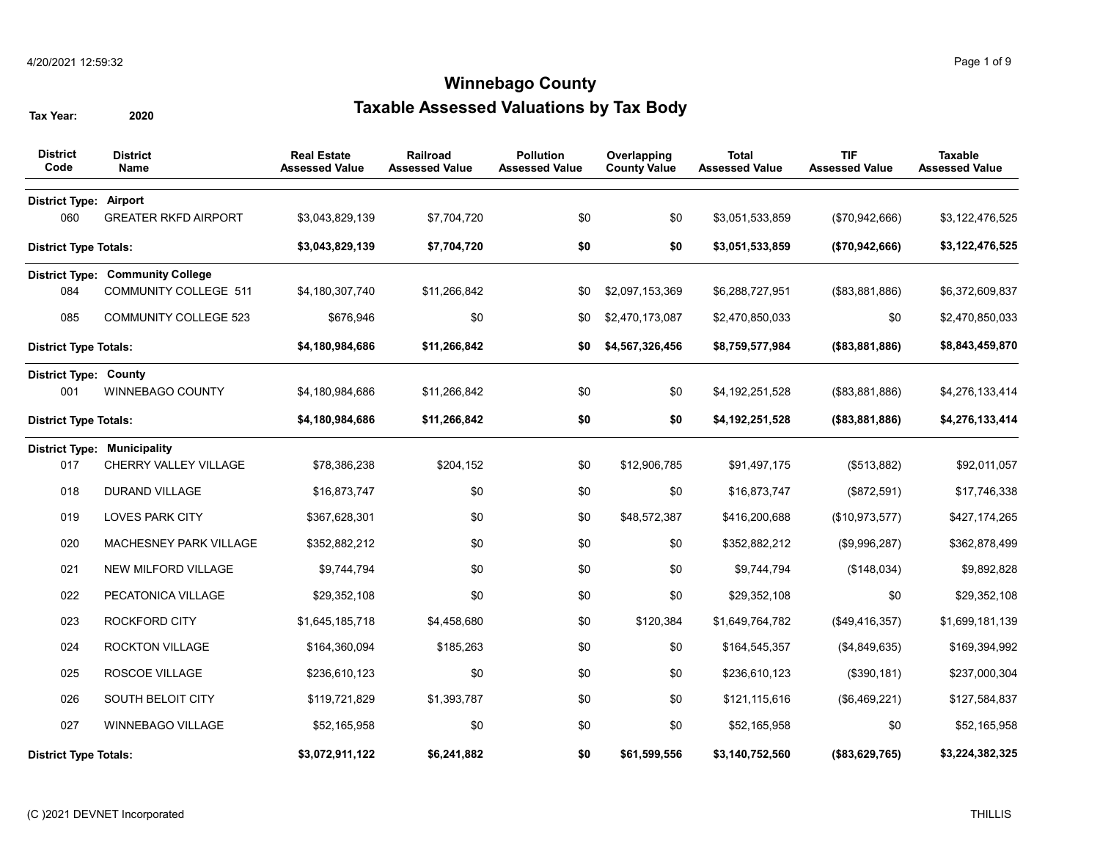| <b>District</b><br>Code       | <b>District</b><br>Name                 | <b>Real Estate</b><br><b>Assessed Value</b> | Railroad<br><b>Assessed Value</b> | <b>Pollution</b><br><b>Assessed Value</b> | Overlapping<br><b>County Value</b> | <b>Total</b><br><b>Assessed Value</b> | <b>TIF</b><br><b>Assessed Value</b> | <b>Taxable</b><br><b>Assessed Value</b> |
|-------------------------------|-----------------------------------------|---------------------------------------------|-----------------------------------|-------------------------------------------|------------------------------------|---------------------------------------|-------------------------------------|-----------------------------------------|
| <b>District Type: Airport</b> |                                         |                                             |                                   |                                           |                                    |                                       |                                     |                                         |
| 060                           | <b>GREATER RKFD AIRPORT</b>             | \$3,043,829,139                             | \$7,704,720                       | \$0                                       | \$0                                | \$3,051,533,859                       | (\$70,942,666)                      | \$3,122,476,525                         |
| <b>District Type Totals:</b>  |                                         | \$3,043,829,139                             | \$7,704,720                       | \$0                                       | \$0                                | \$3,051,533,859                       | (\$70,942,666)                      | \$3,122,476,525                         |
|                               | <b>District Type: Community College</b> |                                             |                                   |                                           |                                    |                                       |                                     |                                         |
| 084                           | <b>COMMUNITY COLLEGE 511</b>            | \$4,180,307,740                             | \$11,266,842                      | \$0                                       | \$2,097,153,369                    | \$6,288,727,951                       | (\$83,881,886)                      | \$6,372,609,837                         |
| 085                           | <b>COMMUNITY COLLEGE 523</b>            | \$676,946                                   | \$0                               | \$0                                       | \$2,470,173,087                    | \$2,470,850,033                       | \$0                                 | \$2,470,850,033                         |
| <b>District Type Totals:</b>  |                                         | \$4,180,984,686                             | \$11,266,842                      | \$0                                       | \$4,567,326,456                    | \$8,759,577,984                       | (\$3,881,886)                       | \$8,843,459,870                         |
| <b>District Type: County</b>  |                                         |                                             |                                   |                                           |                                    |                                       |                                     |                                         |
| 001                           | <b>WINNEBAGO COUNTY</b>                 | \$4,180,984,686                             | \$11,266,842                      | \$0                                       | \$0                                | \$4,192,251,528                       | ( \$83, 881, 886)                   | \$4,276,133,414                         |
| <b>District Type Totals:</b>  |                                         | \$4,180,984,686                             | \$11,266,842                      | \$0                                       | \$0                                | \$4,192,251,528                       | ( \$83, 881, 886)                   | \$4,276,133,414                         |
|                               | <b>District Type: Municipality</b>      |                                             |                                   |                                           |                                    |                                       |                                     |                                         |
| 017                           | CHERRY VALLEY VILLAGE                   | \$78,386,238                                | \$204,152                         | \$0                                       | \$12,906,785                       | \$91,497,175                          | (\$513,882)                         | \$92,011,057                            |
| 018                           | <b>DURAND VILLAGE</b>                   | \$16,873,747                                | \$0                               | \$0                                       | \$0                                | \$16,873,747                          | (\$872,591)                         | \$17,746,338                            |
| 019                           | <b>LOVES PARK CITY</b>                  | \$367,628,301                               | \$0                               | \$0                                       | \$48,572,387                       | \$416,200,688                         | (\$10,973,577)                      | \$427,174,265                           |
| 020                           | MACHESNEY PARK VILLAGE                  | \$352,882,212                               | \$0                               | \$0                                       | \$0                                | \$352,882,212                         | (\$9,996,287)                       | \$362,878,499                           |
| 021                           | NEW MILFORD VILLAGE                     | \$9,744,794                                 | \$0                               | \$0                                       | \$0                                | \$9,744,794                           | (\$148,034)                         | \$9,892,828                             |
| 022                           | PECATONICA VILLAGE                      | \$29,352,108                                | \$0                               | \$0                                       | \$0                                | \$29,352,108                          | \$0                                 | \$29,352,108                            |
| 023                           | <b>ROCKFORD CITY</b>                    | \$1,645,185,718                             | \$4,458,680                       | \$0                                       | \$120,384                          | \$1,649,764,782                       | (\$49,416,357)                      | \$1,699,181,139                         |
| 024                           | <b>ROCKTON VILLAGE</b>                  | \$164,360,094                               | \$185,263                         | \$0                                       | \$0                                | \$164,545,357                         | (\$4,849,635)                       | \$169,394,992                           |
| 025                           | ROSCOE VILLAGE                          | \$236,610,123                               | \$0                               | \$0                                       | \$0                                | \$236,610,123                         | (\$390, 181)                        | \$237,000,304                           |
| 026                           | SOUTH BELOIT CITY                       | \$119,721,829                               | \$1,393,787                       | \$0                                       | \$0                                | \$121,115,616                         | (\$6,469,221)                       | \$127,584,837                           |
| 027                           | WINNEBAGO VILLAGE                       | \$52,165,958                                | \$0                               | \$0                                       | \$0                                | \$52,165,958                          | \$0                                 | \$52,165,958                            |
| District Type Totals:         |                                         | \$3,072,911,122                             | \$6,241,882                       | \$0                                       | \$61,599,556                       | \$3,140,752,560                       | (\$83,629,765)                      | \$3,224,382,325                         |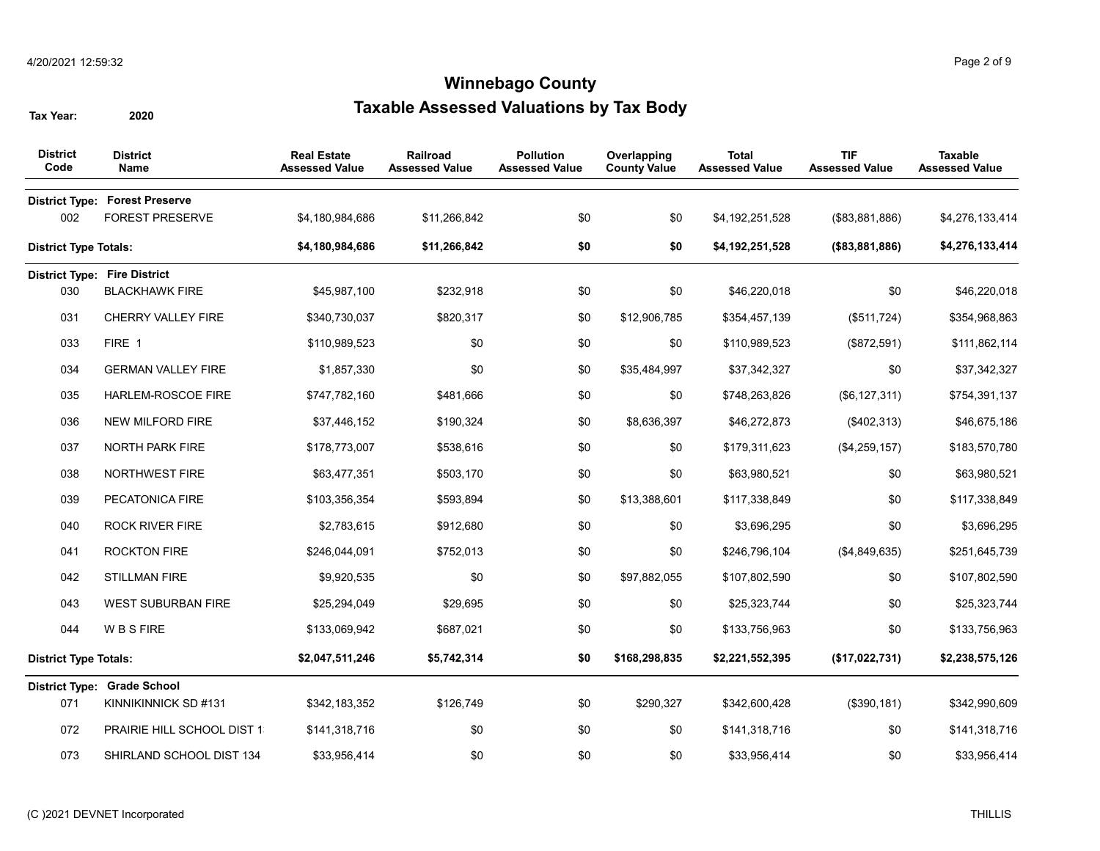| <b>District</b><br>Code      | <b>District</b><br><b>Name</b>                                  | <b>Real Estate</b><br><b>Assessed Value</b> | Railroad<br><b>Assessed Value</b> | <b>Pollution</b><br><b>Assessed Value</b> | Overlapping<br><b>County Value</b> | <b>Total</b><br><b>Assessed Value</b> | <b>TIF</b><br><b>Assessed Value</b> | <b>Taxable</b><br><b>Assessed Value</b> |
|------------------------------|-----------------------------------------------------------------|---------------------------------------------|-----------------------------------|-------------------------------------------|------------------------------------|---------------------------------------|-------------------------------------|-----------------------------------------|
| 002                          | <b>District Type: Forest Preserve</b><br><b>FOREST PRESERVE</b> | \$4,180,984,686                             | \$11,266,842                      | \$0                                       | \$0                                | \$4,192,251,528                       | (\$83,881,886)                      | \$4,276,133,414                         |
| <b>District Type Totals:</b> |                                                                 | \$4,180,984,686                             | \$11,266,842                      | \$0                                       | \$0                                | \$4,192,251,528                       | (\$3,881,886)                       | \$4,276,133,414                         |
|                              | <b>District Type: Fire District</b>                             |                                             |                                   |                                           |                                    |                                       |                                     |                                         |
| 030                          | <b>BLACKHAWK FIRE</b>                                           | \$45,987,100                                | \$232,918                         | \$0                                       | \$0                                | \$46,220,018                          | \$0                                 | \$46,220,018                            |
| 031                          | <b>CHERRY VALLEY FIRE</b>                                       | \$340,730,037                               | \$820,317                         | \$0                                       | \$12,906,785                       | \$354,457,139                         | (\$511,724)                         | \$354,968,863                           |
| 033                          | FIRE 1                                                          | \$110,989,523                               | \$0                               | \$0                                       | \$0                                | \$110,989,523                         | (\$872,591)                         | \$111,862,114                           |
| 034                          | <b>GERMAN VALLEY FIRE</b>                                       | \$1,857,330                                 | \$0                               | \$0                                       | \$35,484,997                       | \$37,342,327                          | \$0                                 | \$37,342,327                            |
| 035                          | HARLEM-ROSCOE FIRE                                              | \$747,782,160                               | \$481,666                         | \$0                                       | \$0                                | \$748,263,826                         | (\$6, 127, 311)                     | \$754,391,137                           |
| 036                          | NEW MILFORD FIRE                                                | \$37,446,152                                | \$190,324                         | \$0                                       | \$8,636,397                        | \$46,272,873                          | (\$402,313)                         | \$46,675,186                            |
| 037                          | <b>NORTH PARK FIRE</b>                                          | \$178,773,007                               | \$538,616                         | \$0                                       | \$0                                | \$179,311,623                         | (\$4,259,157)                       | \$183,570,780                           |
| 038                          | NORTHWEST FIRE                                                  | \$63,477,351                                | \$503,170                         | \$0                                       | \$0                                | \$63,980,521                          | \$0                                 | \$63,980,521                            |
| 039                          | PECATONICA FIRE                                                 | \$103,356,354                               | \$593,894                         | \$0                                       | \$13,388,601                       | \$117,338,849                         | \$0                                 | \$117,338,849                           |
| 040                          | <b>ROCK RIVER FIRE</b>                                          | \$2,783,615                                 | \$912,680                         | \$0                                       | \$0                                | \$3,696,295                           | \$0                                 | \$3,696,295                             |
| 041                          | <b>ROCKTON FIRE</b>                                             | \$246,044,091                               | \$752,013                         | \$0                                       | \$0                                | \$246,796,104                         | (\$4,849,635)                       | \$251,645,739                           |
| 042                          | <b>STILLMAN FIRE</b>                                            | \$9,920,535                                 | \$0                               | \$0                                       | \$97,882,055                       | \$107,802,590                         | \$0                                 | \$107,802,590                           |
| 043                          | <b>WEST SUBURBAN FIRE</b>                                       | \$25,294,049                                | \$29,695                          | \$0                                       | \$0                                | \$25,323,744                          | \$0                                 | \$25,323,744                            |
| 044                          | W B S FIRE                                                      | \$133,069,942                               | \$687,021                         | \$0                                       | \$0                                | \$133,756,963                         | \$0                                 | \$133,756,963                           |
| <b>District Type Totals:</b> |                                                                 | \$2,047,511,246                             | \$5,742,314                       | \$0                                       | \$168,298,835                      | \$2,221,552,395                       | (\$17,022,731)                      | \$2,238,575,126                         |
|                              | <b>District Type: Grade School</b>                              |                                             |                                   |                                           |                                    |                                       |                                     |                                         |
| 071                          | KINNIKINNICK SD #131                                            | \$342,183,352                               | \$126,749                         | \$0                                       | \$290,327                          | \$342,600,428                         | (\$390, 181)                        | \$342,990,609                           |
| 072                          | PRAIRIE HILL SCHOOL DIST 1                                      | \$141,318,716                               | \$0                               | \$0                                       | \$0                                | \$141,318,716                         | \$0                                 | \$141,318,716                           |
| 073                          | SHIRLAND SCHOOL DIST 134                                        | \$33,956,414                                | \$0                               | \$0                                       | \$0                                | \$33,956,414                          | \$0                                 | \$33,956,414                            |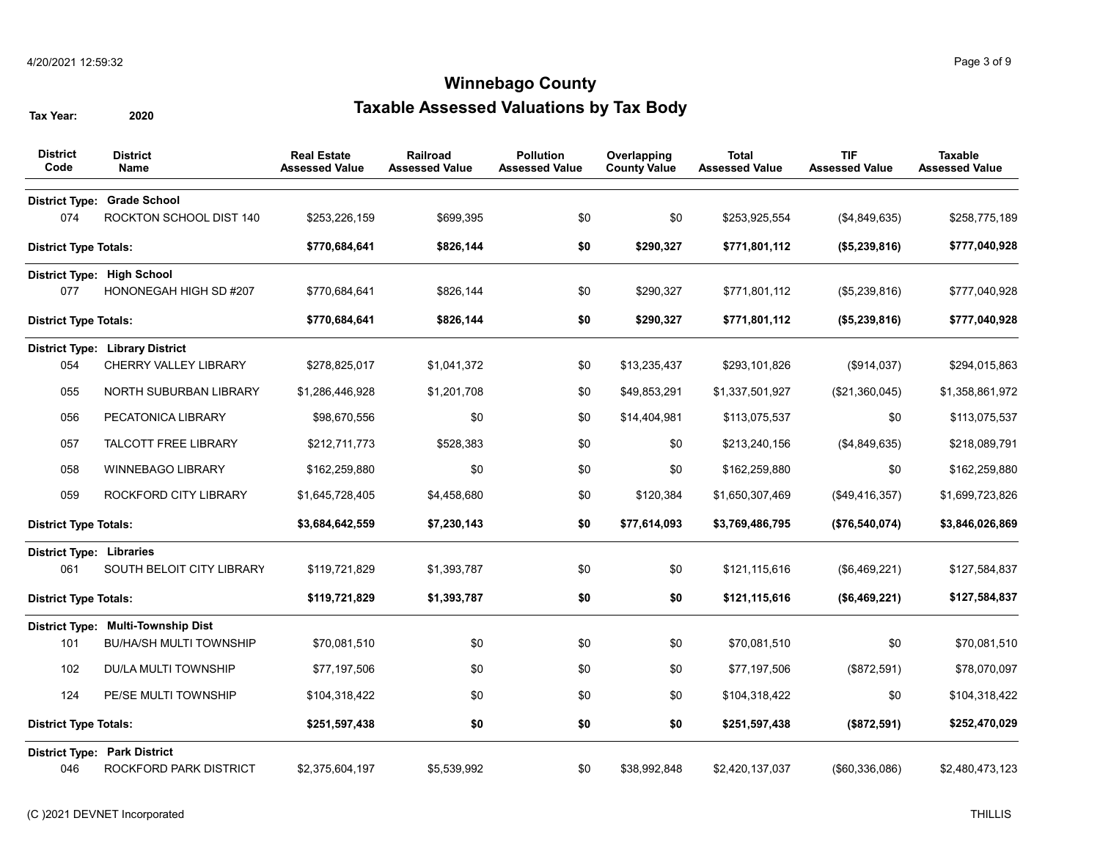| <b>District</b><br>Code         | <b>District</b><br><b>Name</b>         | <b>Real Estate</b><br><b>Assessed Value</b> | Railroad<br><b>Assessed Value</b> | <b>Pollution</b><br><b>Assessed Value</b> | Overlapping<br><b>County Value</b> | <b>Total</b><br><b>Assessed Value</b> | <b>TIF</b><br><b>Assessed Value</b> | <b>Taxable</b><br><b>Assessed Value</b> |
|---------------------------------|----------------------------------------|---------------------------------------------|-----------------------------------|-------------------------------------------|------------------------------------|---------------------------------------|-------------------------------------|-----------------------------------------|
| <b>District Type:</b>           | <b>Grade School</b>                    |                                             |                                   |                                           |                                    |                                       |                                     |                                         |
| 074                             | ROCKTON SCHOOL DIST 140                | \$253,226,159                               | \$699,395                         | \$0                                       | \$0                                | \$253,925,554                         | (\$4,849,635)                       | \$258,775,189                           |
| <b>District Type Totals:</b>    |                                        | \$770,684,641                               | \$826,144                         | \$0                                       | \$290,327                          | \$771,801,112                         | (\$5,239,816)                       | \$777,040,928                           |
|                                 | District Type: High School             |                                             |                                   |                                           |                                    |                                       |                                     |                                         |
| 077                             | HONONEGAH HIGH SD #207                 | \$770,684,641                               | \$826,144                         | \$0                                       | \$290,327                          | \$771,801,112                         | (\$5,239,816)                       | \$777,040,928                           |
| <b>District Type Totals:</b>    |                                        | \$770,684,641                               | \$826,144                         | \$0                                       | \$290,327                          | \$771,801,112                         | (\$5,239,816)                       | \$777,040,928                           |
|                                 | <b>District Type: Library District</b> |                                             |                                   |                                           |                                    |                                       |                                     |                                         |
| 054                             | <b>CHERRY VALLEY LIBRARY</b>           | \$278,825,017                               | \$1,041,372                       | \$0                                       | \$13,235,437                       | \$293,101,826                         | (\$914,037)                         | \$294,015,863                           |
| 055                             | NORTH SUBURBAN LIBRARY                 | \$1,286,446,928                             | \$1,201,708                       | \$0                                       | \$49,853,291                       | \$1,337,501,927                       | (\$21,360,045)                      | \$1,358,861,972                         |
| 056                             | PECATONICA LIBRARY                     | \$98,670,556                                | \$0                               | \$0                                       | \$14,404,981                       | \$113,075,537                         | \$0                                 | \$113,075,537                           |
| 057                             | <b>TALCOTT FREE LIBRARY</b>            | \$212,711,773                               | \$528,383                         | \$0                                       | \$0                                | \$213,240,156                         | (\$4,849,635)                       | \$218,089,791                           |
| 058                             | <b>WINNEBAGO LIBRARY</b>               | \$162,259,880                               | \$0                               | \$0                                       | \$0                                | \$162,259,880                         | \$0                                 | \$162,259,880                           |
| 059                             | ROCKFORD CITY LIBRARY                  | \$1,645,728,405                             | \$4,458,680                       | \$0                                       | \$120,384                          | \$1,650,307,469                       | (\$49,416,357)                      | \$1,699,723,826                         |
| <b>District Type Totals:</b>    |                                        | \$3,684,642,559                             | \$7,230,143                       | \$0                                       | \$77,614,093                       | \$3,769,486,795                       | (\$76,540,074)                      | \$3,846,026,869                         |
| <b>District Type: Libraries</b> |                                        |                                             |                                   |                                           |                                    |                                       |                                     |                                         |
| 061                             | SOUTH BELOIT CITY LIBRARY              | \$119,721,829                               | \$1,393,787                       | \$0                                       | \$0                                | \$121,115,616                         | (\$6,469,221)                       | \$127,584,837                           |
| <b>District Type Totals:</b>    |                                        | \$119,721,829                               | \$1,393,787                       | \$0                                       | \$0                                | \$121,115,616                         | (\$6,469,221)                       | \$127,584,837                           |
|                                 | District Type: Multi-Township Dist     |                                             |                                   |                                           |                                    |                                       |                                     |                                         |
| 101                             | <b>BU/HA/SH MULTI TOWNSHIP</b>         | \$70,081,510                                | \$0                               | \$0                                       | \$0                                | \$70,081,510                          | \$0                                 | \$70,081,510                            |
| 102                             | DU/LA MULTI TOWNSHIP                   | \$77,197,506                                | \$0                               | \$0                                       | \$0                                | \$77,197,506                          | (\$872,591)                         | \$78,070,097                            |
| 124                             | PE/SE MULTI TOWNSHIP                   | \$104,318,422                               | \$0                               | \$0                                       | \$0                                | \$104,318,422                         | \$0                                 | \$104,318,422                           |
| <b>District Type Totals:</b>    |                                        | \$251,597,438                               | \$0                               | \$0                                       | \$0                                | \$251,597,438                         | (\$872,591)                         | \$252,470,029                           |
|                                 | <b>District Type: Park District</b>    |                                             |                                   |                                           |                                    |                                       |                                     |                                         |
| 046                             | ROCKFORD PARK DISTRICT                 | \$2,375,604,197                             | \$5,539,992                       | \$0                                       | \$38,992,848                       | \$2,420,137,037                       | (\$60,336,086)                      | \$2,480,473,123                         |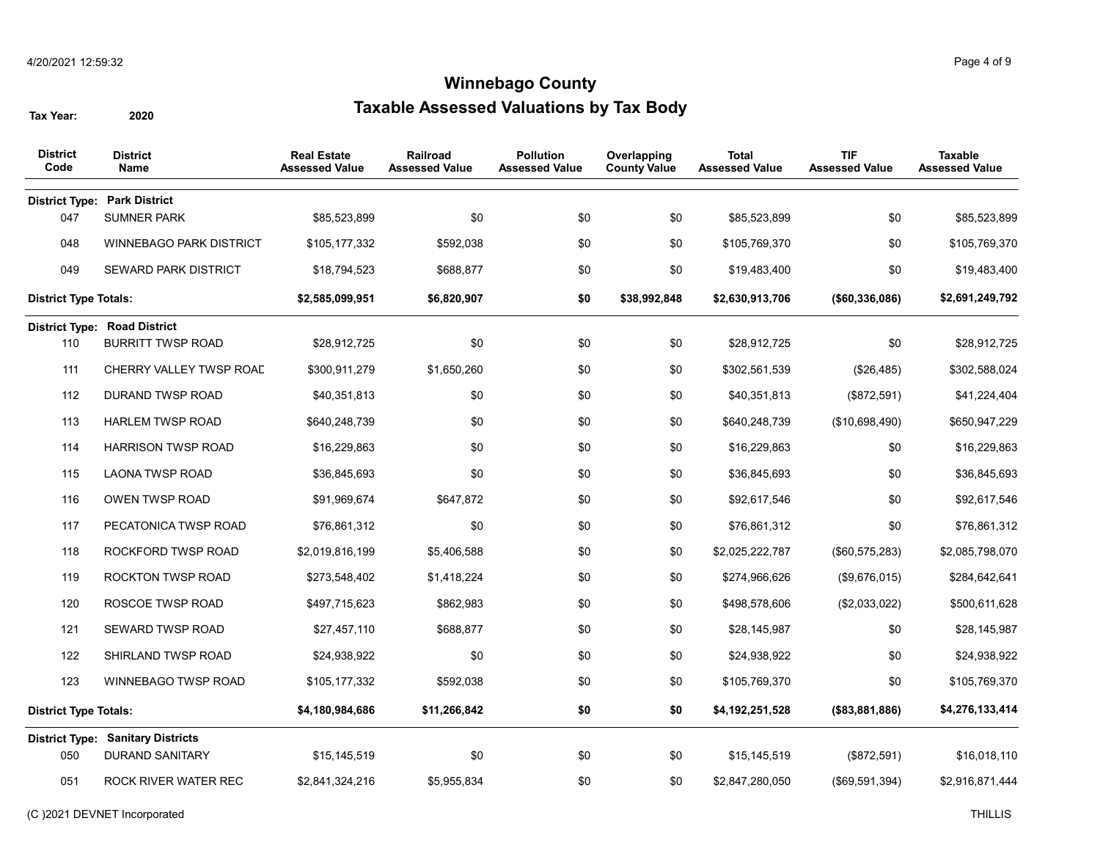| <b>District</b><br>Code      | <b>District</b><br>Name                  | <b>Real Estate</b><br><b>Assessed Value</b> | <b>Railroad</b><br><b>Assessed Value</b> | <b>Pollution</b><br><b>Assessed Value</b> | Overlapping<br><b>County Value</b> | <b>Total</b><br><b>Assessed Value</b> | <b>TIF</b><br><b>Assessed Value</b> | <b>Taxable</b><br><b>Assessed Value</b> |
|------------------------------|------------------------------------------|---------------------------------------------|------------------------------------------|-------------------------------------------|------------------------------------|---------------------------------------|-------------------------------------|-----------------------------------------|
|                              | <b>District Type: Park District</b>      |                                             |                                          |                                           |                                    |                                       |                                     |                                         |
| 047                          | <b>SUMNER PARK</b>                       | \$85,523,899                                | \$0                                      | \$0                                       | \$0                                | \$85,523,899                          | \$0                                 | \$85,523,899                            |
| 048                          | <b>WINNEBAGO PARK DISTRICT</b>           | \$105,177,332                               | \$592,038                                | \$0                                       | \$0                                | \$105,769,370                         | \$0                                 | \$105,769,370                           |
| 049                          | <b>SEWARD PARK DISTRICT</b>              | \$18,794,523                                | \$688,877                                | \$0                                       | \$0                                | \$19,483,400                          | \$0                                 | \$19,483,400                            |
| <b>District Type Totals:</b> |                                          | \$2,585,099,951                             | \$6,820,907                              | \$0                                       | \$38,992,848                       | \$2,630,913,706                       | (\$60,336,086)                      | \$2,691,249,792                         |
|                              | <b>District Type: Road District</b>      |                                             |                                          |                                           |                                    |                                       |                                     |                                         |
| 110                          | <b>BURRITT TWSP ROAD</b>                 | \$28,912,725                                | \$0                                      | \$0                                       | \$0                                | \$28,912,725                          | \$0                                 | \$28,912,725                            |
| 111                          | CHERRY VALLEY TWSP ROAD                  | \$300,911,279                               | \$1,650,260                              | \$0                                       | \$0                                | \$302,561,539                         | (\$26,485)                          | \$302,588,024                           |
| 112                          | <b>DURAND TWSP ROAD</b>                  | \$40,351,813                                | \$0                                      | \$0                                       | \$0                                | \$40,351,813                          | (\$872,591)                         | \$41,224,404                            |
| 113                          | <b>HARLEM TWSP ROAD</b>                  | \$640,248,739                               | \$0                                      | \$0                                       | \$0                                | \$640,248,739                         | (\$10,698,490)                      | \$650,947,229                           |
| 114                          | <b>HARRISON TWSP ROAD</b>                | \$16,229,863                                | \$0                                      | \$0                                       | \$0                                | \$16,229,863                          | \$0                                 | \$16,229,863                            |
| 115                          | <b>LAONA TWSP ROAD</b>                   | \$36,845,693                                | \$0                                      | \$0                                       | \$0                                | \$36,845,693                          | \$0                                 | \$36,845,693                            |
| 116                          | OWEN TWSP ROAD                           | \$91,969,674                                | \$647,872                                | \$0                                       | \$0                                | \$92,617,546                          | \$0                                 | \$92,617,546                            |
| 117                          | PECATONICA TWSP ROAD                     | \$76,861,312                                | \$0                                      | \$0                                       | \$0                                | \$76,861,312                          | \$0                                 | \$76,861,312                            |
| 118                          | ROCKFORD TWSP ROAD                       | \$2,019,816,199                             | \$5,406,588                              | \$0                                       | \$0                                | \$2,025,222,787                       | (\$60,575,283)                      | \$2,085,798,070                         |
| 119                          | <b>ROCKTON TWSP ROAD</b>                 | \$273,548,402                               | \$1,418,224                              | \$0                                       | \$0                                | \$274,966,626                         | (\$9,676,015)                       | \$284,642,641                           |
| 120                          | ROSCOE TWSP ROAD                         | \$497,715,623                               | \$862,983                                | \$0                                       | \$0                                | \$498,578,606                         | (\$2,033,022)                       | \$500,611,628                           |
| 121                          | SEWARD TWSP ROAD                         | \$27,457,110                                | \$688,877                                | \$0                                       | \$0                                | \$28,145,987                          | \$0                                 | \$28,145,987                            |
| 122                          | SHIRLAND TWSP ROAD                       | \$24,938,922                                | \$0                                      | \$0                                       | \$0                                | \$24,938,922                          | \$0                                 | \$24,938,922                            |
| 123                          | WINNEBAGO TWSP ROAD                      | \$105,177,332                               | \$592,038                                | \$0                                       | \$0                                | \$105,769,370                         | \$0                                 | \$105,769,370                           |
| <b>District Type Totals:</b> |                                          | \$4,180,984,686                             | \$11,266,842                             | \$0                                       | \$0                                | \$4,192,251,528                       | (\$83,881,886)                      | \$4,276,133,414                         |
|                              | <b>District Type: Sanitary Districts</b> |                                             |                                          |                                           |                                    |                                       |                                     |                                         |
| 050                          | <b>DURAND SANITARY</b>                   | \$15,145,519                                | \$0                                      | \$0                                       | \$0                                | \$15,145,519                          | (\$872,591)                         | \$16,018,110                            |
| 051                          | ROCK RIVER WATER REC                     | \$2,841,324,216                             | \$5,955,834                              | \$0                                       | \$0                                | \$2,847,280,050                       | (\$69,591,394)                      | \$2,916,871,444                         |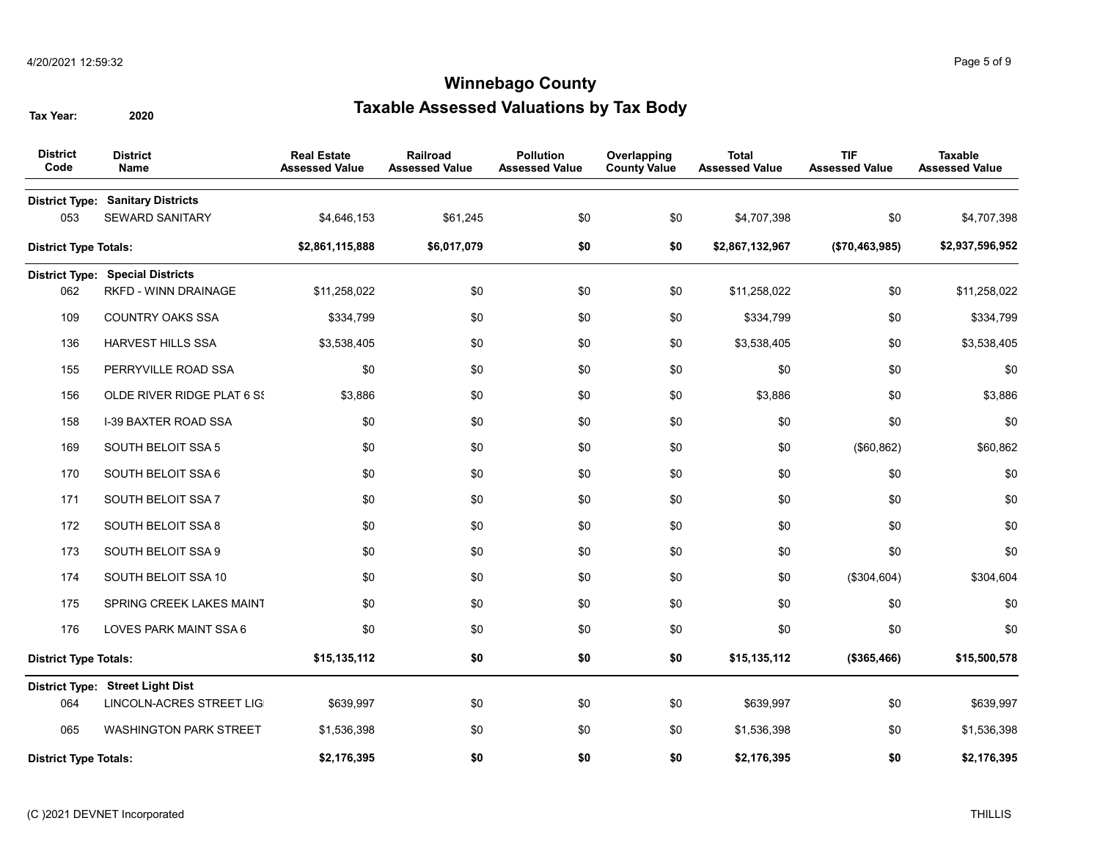| <b>District</b><br>Code      | <b>District</b><br><b>Name</b>                                     | <b>Real Estate</b><br><b>Assessed Value</b> | <b>Railroad</b><br><b>Assessed Value</b> | <b>Pollution</b><br><b>Assessed Value</b> | Overlapping<br><b>County Value</b> | <b>Total</b><br><b>Assessed Value</b> | <b>TIF</b><br><b>Assessed Value</b> | <b>Taxable</b><br><b>Assessed Value</b> |
|------------------------------|--------------------------------------------------------------------|---------------------------------------------|------------------------------------------|-------------------------------------------|------------------------------------|---------------------------------------|-------------------------------------|-----------------------------------------|
| 053                          | <b>District Type: Sanitary Districts</b><br><b>SEWARD SANITARY</b> | \$4,646,153                                 | \$61,245                                 | \$0                                       | \$0                                | \$4,707,398                           | \$0                                 | \$4,707,398                             |
| <b>District Type Totals:</b> |                                                                    | \$2,861,115,888                             | \$6,017,079                              | \$0                                       | \$0                                | \$2,867,132,967                       | (\$70,463,985)                      | \$2,937,596,952                         |
|                              | <b>District Type: Special Districts</b>                            |                                             |                                          |                                           |                                    |                                       |                                     |                                         |
| 062                          | RKFD - WINN DRAINAGE                                               | \$11,258,022                                | \$0                                      | \$0                                       | \$0                                | \$11,258,022                          | \$0                                 | \$11,258,022                            |
| 109                          | COUNTRY OAKS SSA                                                   | \$334,799                                   | \$0                                      | \$0                                       | \$0                                | \$334,799                             | \$0                                 | \$334,799                               |
| 136                          | <b>HARVEST HILLS SSA</b>                                           | \$3,538,405                                 | \$0                                      | \$0                                       | \$0                                | \$3,538,405                           | \$0                                 | \$3,538,405                             |
| 155                          | PERRYVILLE ROAD SSA                                                | \$0                                         | \$0                                      | \$0                                       | \$0                                | \$0                                   | \$0                                 | \$0                                     |
| 156                          | OLDE RIVER RIDGE PLAT 6 SS                                         | \$3,886                                     | \$0                                      | \$0                                       | \$0                                | \$3,886                               | \$0                                 | \$3,886                                 |
| 158                          | <b>I-39 BAXTER ROAD SSA</b>                                        | \$0                                         | \$0                                      | \$0                                       | \$0                                | \$0                                   | \$0                                 | \$0                                     |
| 169                          | SOUTH BELOIT SSA 5                                                 | \$0                                         | \$0                                      | \$0                                       | \$0                                | \$0                                   | (\$60, 862)                         | \$60,862                                |
| 170                          | SOUTH BELOIT SSA 6                                                 | \$0                                         | \$0                                      | \$0                                       | \$0                                | \$0                                   | \$0                                 | \$0                                     |
| 171                          | SOUTH BELOIT SSA 7                                                 | \$0                                         | \$0                                      | \$0                                       | \$0                                | \$0                                   | \$0                                 | \$0                                     |
| 172                          | SOUTH BELOIT SSA 8                                                 | \$0                                         | \$0                                      | \$0                                       | \$0                                | \$0                                   | \$0                                 | \$0                                     |
| 173                          | SOUTH BELOIT SSA 9                                                 | \$0                                         | \$0                                      | \$0                                       | \$0                                | \$0                                   | \$0                                 | \$0                                     |
| 174                          | SOUTH BELOIT SSA 10                                                | \$0                                         | \$0                                      | \$0                                       | \$0                                | \$0                                   | (\$304,604)                         | \$304,604                               |
| 175                          | SPRING CREEK LAKES MAINT                                           | \$0                                         | \$0                                      | \$0                                       | \$0                                | \$0                                   | \$0                                 | \$0                                     |
| 176                          | LOVES PARK MAINT SSA 6                                             | \$0                                         | \$0                                      | \$0                                       | \$0                                | \$0                                   | \$0                                 | \$0                                     |
| <b>District Type Totals:</b> |                                                                    | \$15,135,112                                | \$0                                      | \$0                                       | \$0                                | \$15,135,112                          | (\$365,466)                         | \$15,500,578                            |
|                              | District Type: Street Light Dist                                   |                                             |                                          |                                           |                                    |                                       |                                     |                                         |
| 064                          | <b>LINCOLN-ACRES STREET LIG</b>                                    | \$639,997                                   | \$0                                      | \$0                                       | \$0                                | \$639,997                             | \$0                                 | \$639,997                               |
| 065                          | <b>WASHINGTON PARK STREET</b>                                      | \$1,536,398                                 | \$0                                      | \$0                                       | \$0                                | \$1,536,398                           | \$0                                 | \$1,536,398                             |
| <b>District Type Totals:</b> |                                                                    | \$2,176,395                                 | \$0                                      | \$0                                       | \$0                                | \$2,176,395                           | \$0                                 | \$2,176,395                             |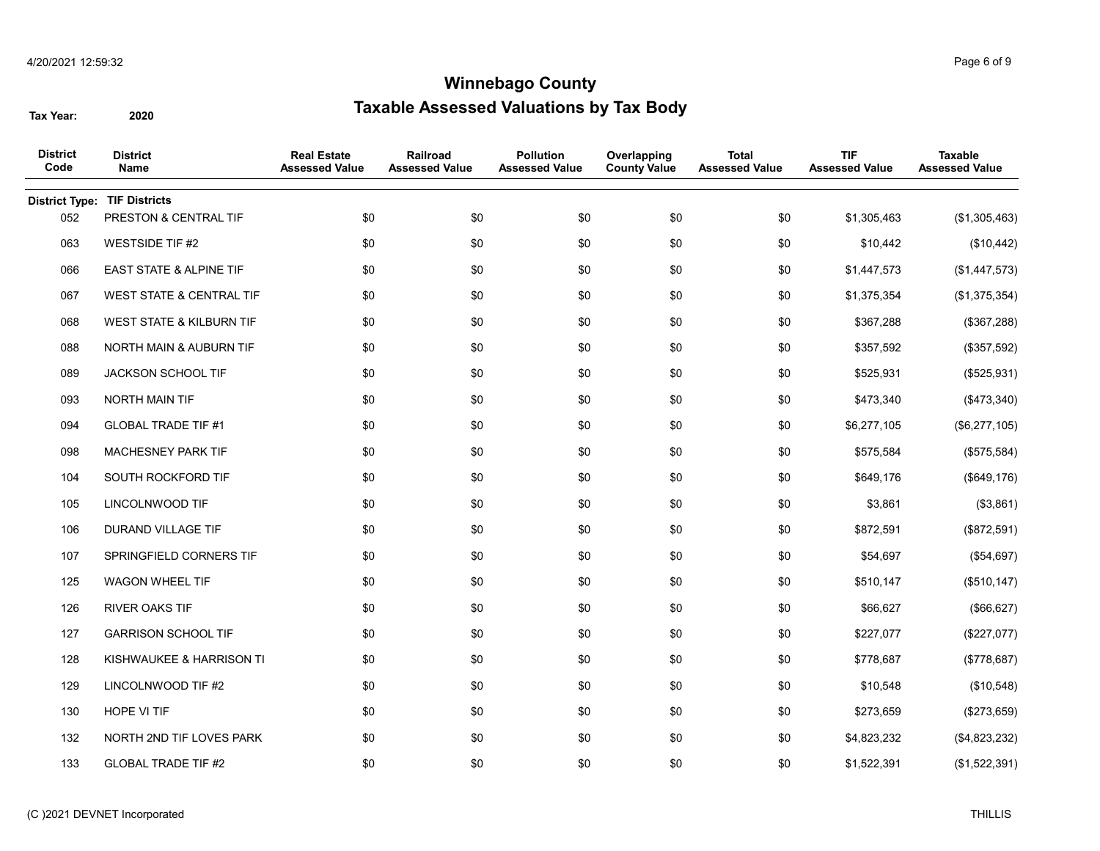| <b>District</b><br>Code | <b>District</b><br>Name    | <b>Real Estate</b><br><b>Assessed Value</b> | Railroad<br>Assessed Value | <b>Pollution</b><br><b>Assessed Value</b> | Overlapping<br><b>County Value</b> | <b>Total</b><br><b>Assessed Value</b> | <b>TIF</b><br><b>Assessed Value</b> | <b>Taxable</b><br><b>Assessed Value</b> |
|-------------------------|----------------------------|---------------------------------------------|----------------------------|-------------------------------------------|------------------------------------|---------------------------------------|-------------------------------------|-----------------------------------------|
| <b>District Type:</b>   | <b>TIF Districts</b>       |                                             |                            |                                           |                                    |                                       |                                     |                                         |
| 052                     | PRESTON & CENTRAL TIF      | \$0                                         | \$0                        | \$0                                       | \$0                                | \$0                                   | \$1,305,463                         | (\$1,305,463)                           |
| 063                     | <b>WESTSIDE TIF #2</b>     | \$0                                         | \$0                        | \$0                                       | \$0                                | \$0                                   | \$10,442                            | (\$10,442)                              |
| 066                     | EAST STATE & ALPINE TIF    | \$0                                         | \$0                        | \$0                                       | \$0                                | \$0                                   | \$1,447,573                         | (\$1,447,573)                           |
| 067                     | WEST STATE & CENTRAL TIF   | \$0                                         | \$0                        | \$0                                       | \$0                                | \$0                                   | \$1,375,354                         | (\$1,375,354)                           |
| 068                     | WEST STATE & KILBURN TIF   | \$0                                         | \$0                        | \$0                                       | \$0                                | \$0                                   | \$367,288                           | (\$367,288)                             |
| 088                     | NORTH MAIN & AUBURN TIF    | \$0                                         | \$0                        | \$0                                       | \$0                                | \$0                                   | \$357,592                           | (\$357,592)                             |
| 089                     | JACKSON SCHOOL TIF         | \$0                                         | \$0                        | \$0                                       | \$0                                | \$0                                   | \$525,931                           | (\$525,931)                             |
| 093                     | NORTH MAIN TIF             | \$0                                         | \$0                        | \$0                                       | \$0                                | \$0                                   | \$473,340                           | (\$473,340)                             |
| 094                     | <b>GLOBAL TRADE TIF #1</b> | \$0                                         | \$0                        | \$0                                       | \$0                                | \$0                                   | \$6,277,105                         | (\$6,277,105)                           |
| 098                     | MACHESNEY PARK TIF         | \$0                                         | \$0                        | \$0                                       | \$0                                | \$0                                   | \$575,584                           | (\$575,584)                             |
| 104                     | SOUTH ROCKFORD TIF         | \$0                                         | \$0                        | \$0                                       | \$0                                | \$0                                   | \$649,176                           | (\$649, 176)                            |
| 105                     | LINCOLNWOOD TIF            | \$0                                         | \$0                        | \$0                                       | \$0                                | \$0                                   | \$3,861                             | (\$3,861)                               |
| 106                     | DURAND VILLAGE TIF         | \$0                                         | \$0                        | \$0                                       | \$0                                | \$0                                   | \$872,591                           | (\$872,591)                             |
| 107                     | SPRINGFIELD CORNERS TIF    | \$0                                         | \$0                        | \$0                                       | \$0                                | \$0                                   | \$54,697                            | (\$54,697)                              |
| 125                     | WAGON WHEEL TIF            | \$0                                         | \$0                        | \$0                                       | \$0                                | \$0                                   | \$510,147                           | (\$510, 147)                            |
| 126                     | <b>RIVER OAKS TIF</b>      | \$0                                         | \$0                        | \$0                                       | \$0                                | \$0                                   | \$66,627                            | (\$66,627)                              |
| 127                     | <b>GARRISON SCHOOL TIF</b> | \$0                                         | \$0                        | \$0                                       | \$0                                | \$0                                   | \$227,077                           | (\$227,077)                             |
| 128                     | KISHWAUKEE & HARRISON TI   | \$0                                         | \$0                        | \$0                                       | \$0                                | \$0                                   | \$778,687                           | (\$778,687)                             |
| 129                     | LINCOLNWOOD TIF #2         | \$0                                         | \$0                        | \$0                                       | \$0                                | \$0                                   | \$10,548                            | (\$10,548)                              |
| 130                     | HOPE VI TIF                | \$0                                         | \$0                        | \$0                                       | \$0                                | \$0                                   | \$273,659                           | (\$273,659)                             |
| 132                     | NORTH 2ND TIF LOVES PARK   | \$0                                         | \$0                        | \$0                                       | \$0                                | \$0                                   | \$4,823,232                         | (\$4,823,232)                           |
| 133                     | <b>GLOBAL TRADE TIF #2</b> | \$0                                         | \$0                        | \$0                                       | \$0                                | \$0                                   | \$1,522,391                         | (\$1,522,391)                           |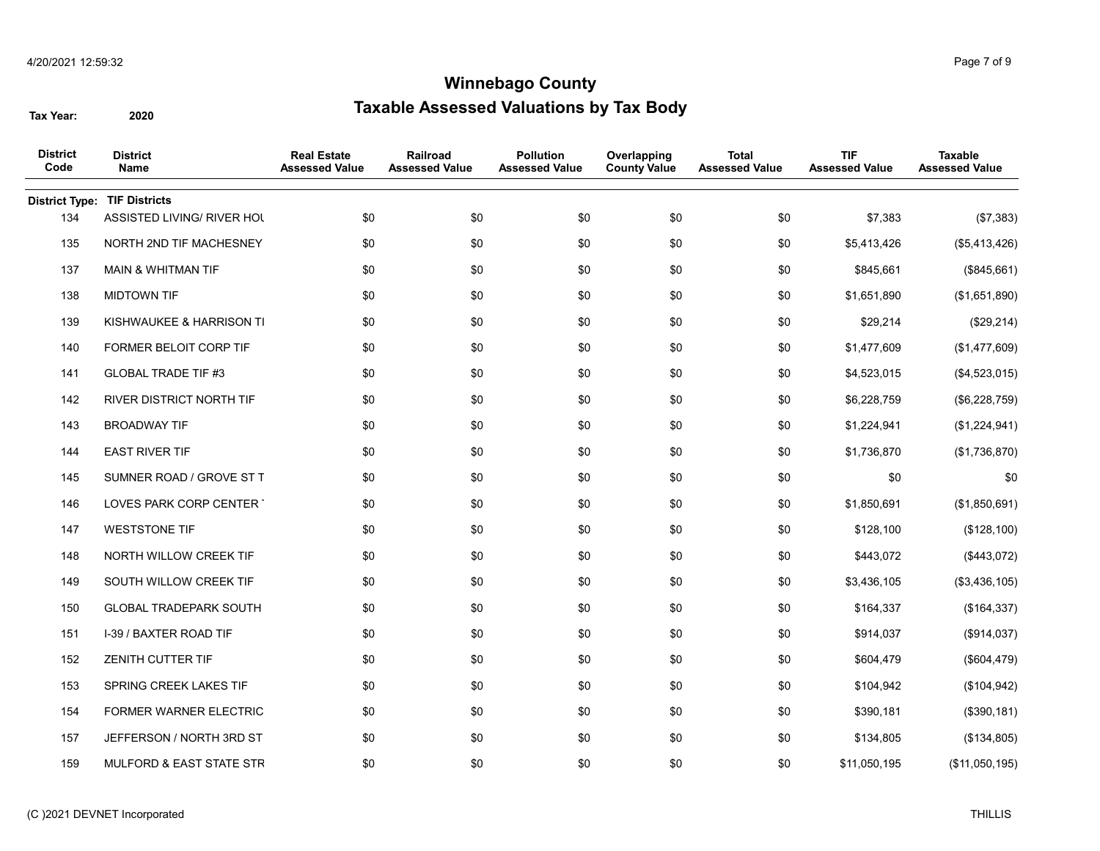| <b>District</b><br>Code | <b>District</b><br>Name       | <b>Real Estate</b><br><b>Assessed Value</b> | Railroad<br><b>Assessed Value</b> | <b>Pollution</b><br><b>Assessed Value</b> | Overlapping<br><b>County Value</b> | <b>Total</b><br><b>Assessed Value</b> | <b>TIF</b><br><b>Assessed Value</b> | <b>Taxable</b><br><b>Assessed Value</b> |
|-------------------------|-------------------------------|---------------------------------------------|-----------------------------------|-------------------------------------------|------------------------------------|---------------------------------------|-------------------------------------|-----------------------------------------|
| <b>District Type:</b>   | <b>TIF Districts</b>          |                                             |                                   |                                           |                                    |                                       |                                     |                                         |
| 134                     | ASSISTED LIVING/ RIVER HOL    | \$0                                         | \$0                               | \$0                                       | \$0                                | \$0                                   | \$7,383                             | (\$7,383)                               |
| 135                     | NORTH 2ND TIF MACHESNEY       | \$0                                         | \$0                               | \$0                                       | \$0                                | \$0                                   | \$5,413,426                         | (\$5,413,426)                           |
| 137                     | MAIN & WHITMAN TIF            | \$0                                         | \$0                               | \$0                                       | \$0                                | \$0                                   | \$845,661                           | (\$845,661)                             |
| 138                     | <b>MIDTOWN TIF</b>            | \$0                                         | \$0                               | \$0                                       | \$0                                | \$0                                   | \$1,651,890                         | (\$1,651,890)                           |
| 139                     | KISHWAUKEE & HARRISON TI      | \$0                                         | \$0                               | \$0                                       | \$0                                | \$0                                   | \$29,214                            | (\$29,214)                              |
| 140                     | FORMER BELOIT CORP TIF        | \$0                                         | \$0                               | \$0                                       | \$0                                | \$0                                   | \$1,477,609                         | (\$1,477,609)                           |
| 141                     | <b>GLOBAL TRADE TIF #3</b>    | \$0                                         | \$0                               | \$0                                       | \$0                                | \$0                                   | \$4,523,015                         | (\$4,523,015)                           |
| 142                     | RIVER DISTRICT NORTH TIF      | \$0                                         | \$0                               | \$0                                       | \$0                                | \$0                                   | \$6,228,759                         | (\$6,228,759)                           |
| 143                     | <b>BROADWAY TIF</b>           | \$0                                         | \$0                               | \$0                                       | \$0                                | \$0                                   | \$1,224,941                         | (\$1,224,941)                           |
| 144                     | <b>EAST RIVER TIF</b>         | \$0                                         | \$0                               | \$0                                       | \$0                                | \$0                                   | \$1,736,870                         | (\$1,736,870)                           |
| 145                     | SUMNER ROAD / GROVE ST T      | \$0                                         | \$0                               | \$0                                       | \$0                                | \$0                                   | \$0                                 | \$0                                     |
| 146                     | LOVES PARK CORP CENTER        | \$0                                         | \$0                               | \$0                                       | \$0                                | \$0                                   | \$1,850,691                         | (\$1,850,691)                           |
| 147                     | <b>WESTSTONE TIF</b>          | \$0                                         | \$0                               | \$0                                       | \$0                                | \$0                                   | \$128,100                           | (\$128,100)                             |
| 148                     | NORTH WILLOW CREEK TIF        | \$0                                         | \$0                               | \$0                                       | \$0                                | \$0                                   | \$443,072                           | (\$443,072)                             |
| 149                     | SOUTH WILLOW CREEK TIF        | \$0                                         | \$0                               | \$0                                       | \$0                                | \$0                                   | \$3,436,105                         | (\$3,436,105)                           |
| 150                     | <b>GLOBAL TRADEPARK SOUTH</b> | \$0                                         | \$0                               | \$0                                       | \$0                                | \$0                                   | \$164,337                           | (\$164,337)                             |
| 151                     | I-39 / BAXTER ROAD TIF        | \$0                                         | \$0                               | \$0                                       | \$0                                | \$0                                   | \$914,037                           | (\$914,037)                             |
| 152                     | ZENITH CUTTER TIF             | \$0                                         | \$0                               | \$0                                       | \$0                                | \$0                                   | \$604,479                           | (\$604, 479)                            |
| 153                     | SPRING CREEK LAKES TIF        | \$0                                         | \$0                               | \$0                                       | \$0                                | \$0                                   | \$104,942                           | (\$104, 942)                            |
| 154                     | FORMER WARNER ELECTRIC        | \$0                                         | \$0                               | \$0                                       | \$0                                | \$0                                   | \$390,181                           | (\$390, 181)                            |
| 157                     | JEFFERSON / NORTH 3RD ST      | \$0                                         | \$0                               | \$0                                       | \$0                                | \$0                                   | \$134,805                           | (\$134,805)                             |
| 159                     | MULFORD & EAST STATE STR      | \$0                                         | \$0                               | \$0                                       | \$0                                | \$0                                   | \$11,050,195                        | (\$11,050,195)                          |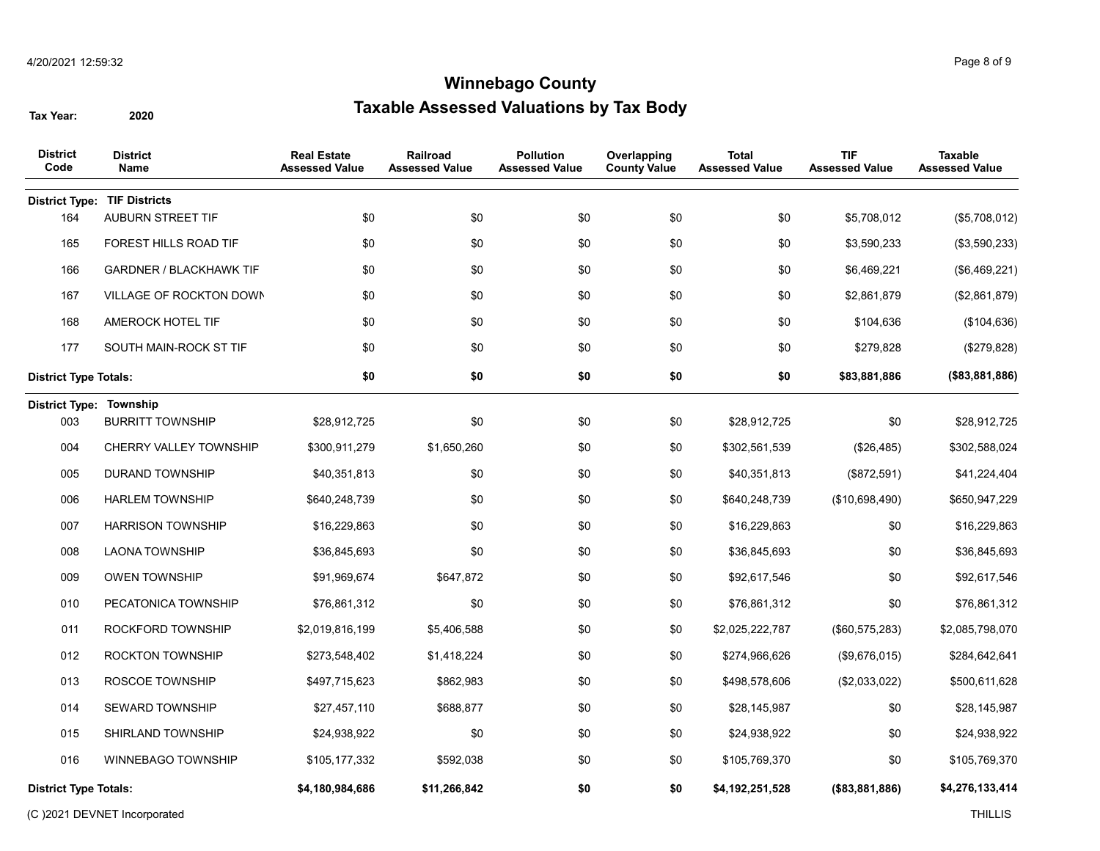| <b>District</b><br>Code               | <b>District</b><br><b>Name</b>      | <b>Real Estate</b><br><b>Assessed Value</b> | Railroad<br><b>Assessed Value</b> | <b>Pollution</b><br><b>Assessed Value</b> | Overlapping<br><b>County Value</b> | <b>Total</b><br><b>Assessed Value</b> | <b>TIF</b><br><b>Assessed Value</b> | <b>Taxable</b><br><b>Assessed Value</b> |
|---------------------------------------|-------------------------------------|---------------------------------------------|-----------------------------------|-------------------------------------------|------------------------------------|---------------------------------------|-------------------------------------|-----------------------------------------|
|                                       | <b>District Type: TIF Districts</b> |                                             |                                   |                                           |                                    |                                       |                                     |                                         |
| 164                                   | AUBURN STREET TIF                   | \$0                                         | \$0                               | \$0                                       | \$0                                | \$0                                   | \$5,708,012                         | (\$5,708,012)                           |
| 165                                   | FOREST HILLS ROAD TIF               | \$0                                         | \$0                               | \$0                                       | \$0                                | \$0                                   | \$3,590,233                         | (\$3,590,233)                           |
| 166                                   | <b>GARDNER / BLACKHAWK TIF</b>      | \$0                                         | \$0                               | \$0                                       | \$0                                | \$0                                   | \$6,469,221                         | (\$6,469,221)                           |
| 167                                   | VILLAGE OF ROCKTON DOWN             | \$0                                         | \$0                               | \$0                                       | \$0                                | \$0                                   | \$2,861,879                         | (\$2,861,879)                           |
| 168                                   | AMEROCK HOTEL TIF                   | \$0                                         | \$0                               | \$0                                       | \$0                                | \$0                                   | \$104,636                           | (\$104, 636)                            |
| 177                                   | SOUTH MAIN-ROCK ST TIF              | \$0                                         | \$0                               | \$0                                       | \$0                                | \$0                                   | \$279,828                           | (\$279,828)                             |
| <b>District Type Totals:</b>          |                                     | \$0                                         | \$0                               | \$0                                       | \$0                                | \$0                                   | \$83,881,886                        | (\$83,881,886)                          |
| <b>District Type: Township</b><br>003 | <b>BURRITT TOWNSHIP</b>             | \$28,912,725                                | \$0                               | \$0                                       | \$0                                | \$28,912,725                          | \$0                                 | \$28,912,725                            |
| 004                                   | CHERRY VALLEY TOWNSHIP              | \$300,911,279                               | \$1,650,260                       | \$0                                       | \$0                                | \$302,561,539                         | (\$26,485)                          | \$302,588,024                           |
| 005                                   | <b>DURAND TOWNSHIP</b>              | \$40,351,813                                | \$0                               | \$0                                       | \$0                                | \$40,351,813                          | (\$872,591)                         | \$41,224,404                            |
| 006                                   | <b>HARLEM TOWNSHIP</b>              | \$640,248,739                               | \$0                               | \$0                                       | \$0                                | \$640,248,739                         | (\$10,698,490)                      | \$650,947,229                           |
| 007                                   | <b>HARRISON TOWNSHIP</b>            | \$16,229,863                                | \$0                               | \$0                                       | \$0                                | \$16,229,863                          | \$0                                 | \$16,229,863                            |
| 008                                   | <b>LAONA TOWNSHIP</b>               | \$36,845,693                                | \$0                               | \$0                                       | \$0                                | \$36,845,693                          | \$0                                 | \$36,845,693                            |
| 009                                   | <b>OWEN TOWNSHIP</b>                | \$91,969,674                                | \$647,872                         | \$0                                       | \$0                                | \$92,617,546                          | \$0                                 | \$92,617,546                            |
| 010                                   | PECATONICA TOWNSHIP                 | \$76,861,312                                | \$0                               | \$0                                       | \$0                                | \$76,861,312                          | \$0                                 | \$76,861,312                            |
| 011                                   | ROCKFORD TOWNSHIP                   | \$2,019,816,199                             | \$5,406,588                       | \$0                                       | \$0                                | \$2,025,222,787                       | (\$60,575,283)                      | \$2,085,798,070                         |
| 012                                   | <b>ROCKTON TOWNSHIP</b>             | \$273,548,402                               | \$1,418,224                       | \$0                                       | \$0                                | \$274,966,626                         | (\$9,676,015)                       | \$284,642,641                           |
| 013                                   | ROSCOE TOWNSHIP                     | \$497,715,623                               | \$862,983                         | \$0                                       | \$0                                | \$498,578,606                         | (\$2,033,022)                       | \$500,611,628                           |
| 014                                   | SEWARD TOWNSHIP                     | \$27,457,110                                | \$688,877                         | \$0                                       | \$0                                | \$28,145,987                          | \$0                                 | \$28,145,987                            |
| 015                                   | SHIRLAND TOWNSHIP                   | \$24,938,922                                | \$0                               | \$0                                       | \$0                                | \$24,938,922                          | \$0                                 | \$24,938,922                            |
| 016                                   | <b>WINNEBAGO TOWNSHIP</b>           | \$105,177,332                               | \$592,038                         | \$0                                       | \$0                                | \$105,769,370                         | \$0                                 | \$105,769,370                           |
| <b>District Type Totals:</b>          |                                     | \$4,180,984,686                             | \$11,266,842                      | \$0                                       | \$0                                | \$4,192,251,528                       | (\$83,881,886)                      | \$4,276,133,414                         |